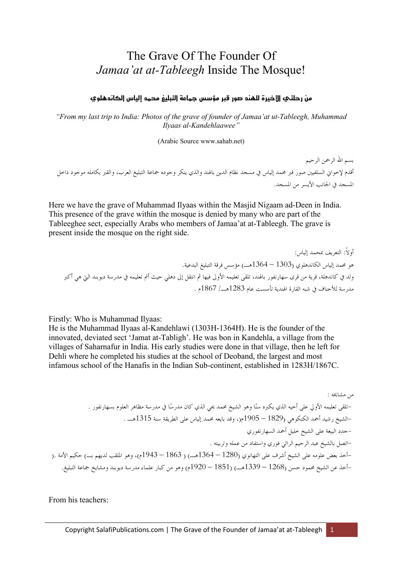# The Grave Of The Founder Of *Jamaa'at at-Tableegh* Inside The Mosque!

#### من رحلنَــي الْتَــنيرة للـهند صور قبر مؤسس جماعة النبليغ محمد إلياس الكـاندهلوي

*"From my last trip to India: Photos of the grave of founder of Jamaa'at ut-Tableegh, Muhammad Ilyaas al-Kandehlaawee"* 

(Arabic Source www.sahab.net)

بسم الله الرحمن الرحيم أقدم لإخواني السلفيين صور قبر محمد إلياس في مسجد نظام الدين بالهند والذي ينكر وحوده جماعة التبليغ العرب، والقبر بكامله موجود داخل المسحد في الجانب الأيسر من المسحد.

Here we have the grave of Muhammad Ilyaas within the Masjid Nizaam ad-Deen in India. This presence of the grave within the mosque is denied by many who are part of the Tableeghee sect, especially Arabs who members of Jamaa'at at-Tableegh. The grave is present inside the mosque on the right side.

أولا: التعريف بمحمد إلياس: . -! - P QRS1 (NF1364 – 1303) +F/"( 3"-4 56 F ولد في كاندهلة، قرية من قرى سهارنفور بالهند، تلقى تعليمه الأولى فيها ثم انتقل إلى دهلي حيث أتم تعليمه في مدرسة ديوبند التي هي أكبر مدرسة للأحناف في شبه القارة الهندية تأسست عام 1283هــ/ 1867م .

Firstly: Who is Muhammad Ilyaas:

He is the Muhammad Ilyaas al-Kandehlawi (1303H-1364H). He is the founder of the innovated, deviated sect 'Jamat at-Tabligh'. He was bon in Kandehla, a village from the villages of Saharnafur in India. His early studies were done in that village, then he left for Dehli where he completed his studies at the school of Deoband, the largest and most infamous school of the Hanafis in the Indian Sub-continent, established in 1283H/1867C.

: 9i"j1 1 . /
"T F".1 R
1 2 "lR
1 m"Y +, \n 56 oj F' "l)R \$7(\* +, 9- W! p'< 95-V W:Vk . NF1315 )R :\*s W! 3"-4 56 9\*" ' )1905 – 1829) \F()( d ojk +
/
"T 8 oj W! - %&k . 9-V' 95! 1 %"R' +
P \u - ! oj" 8tVk ). 1< -( (N T\* =:; F' (1943 – 1863 ) (NF1364 – 1280) +/"T W! \_d oj W! 91! v ,k .- !"# o\*"j1' )\*% R
1 w"5! "Y 1 F' (1920 – 1851) (NF1339 – 1268) %56 oj ! ,k

From his teachers: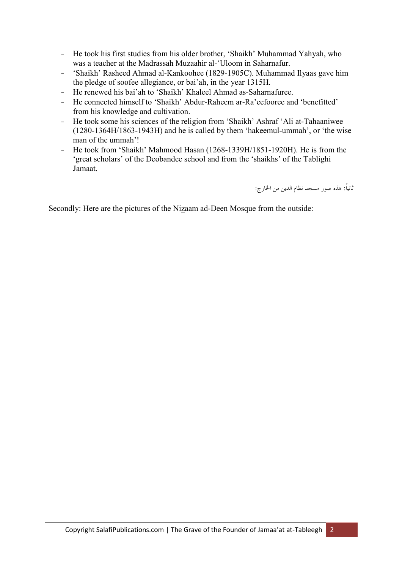- He took his first studies from his older brother, 'Shaikh' Muhammad Yahyah, who was a teacher at the Madrassah Muzaahir al-'Uloom in Saharnafur.
- k 'Shaikh' Rasheed Ahmad al-Kankoohee (1829-1905C). Muhammad Ilyaas gave him the pledge of soofee allegiance, or bai'ah, in the year 1315H.
- He renewed his bai'ah to 'Shaikh' Khaleel Ahmad as-Saharnafuree.
- He connected himself to 'Shaikh' Abdur-Raheem ar-Ra'eefooree and 'benefitted' from his knowledge and cultivation.
- He took some his sciences of the religion from 'Shaikh' Ashraf 'Ali at-Tahaaniwee (1280-1364H/1863-1943H) and he is called by them 'hakeemul-ummah', or 'the wise man of the ummah'!
- k He took from 'Shaikh' Mahmood Hasan (1268-1339H/1851-1920H). He is from the 'great scholars' of the Deobandee school and from the 'shaikhs' of the Tablighi Jamaat.

ثانيا: هذه صور مسحد نظام الدين من الخارج:

Secondly: Here are the pictures of the Nizaam ad-Deen Mosque from the outside: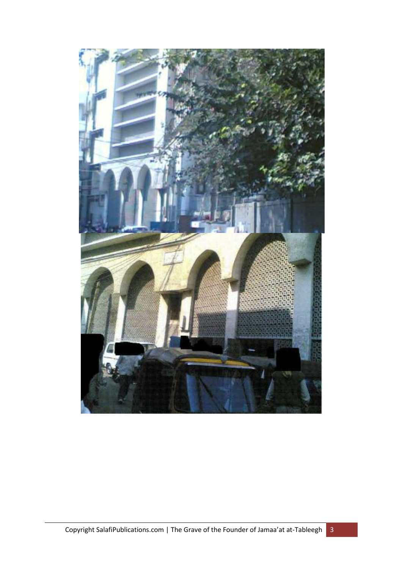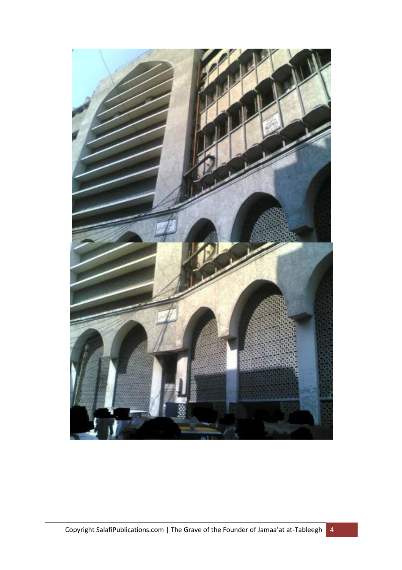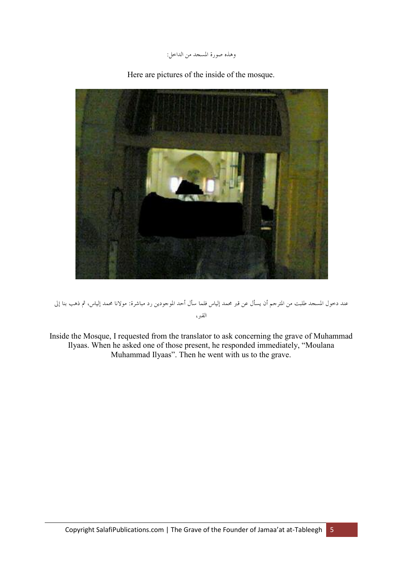وهذه صورة المسحد من الداحل:

Here are pictures of the inside of the mosque.



عند دخول المسجد طلبت من المترجم أن يسأل عن قبر محمد إلياس فلما سأل أحد الموجودين رد مباشرة: مولانا محمد إلياس، ثم ذهب بنا إلى القبر،

Inside the Mosque, I requested from the translator to ask concerning the grave of Muhammad Ilyaas. When he asked one of those present, he responded immediately, "Moulana Muhammad Ilyaas". Then he went with us to the grave.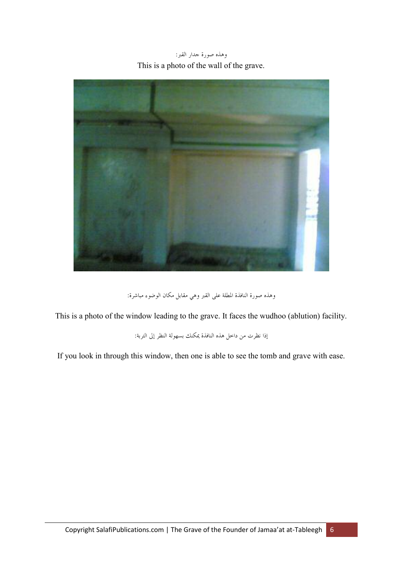وهذه صورة حدار القبر: This is a photo of the wall of the grave.



وهذه صورة النافذة المطلة على القبر وهي مقابل مكان الوضوء مباشرة:

This is a photo of the window leading to the grave. It faces the wudhoo (ablution) facility.

إذا نظرت من داخل هذه النافذة يمكنك بسهولة النظر إلى التربة:

If you look in through this window, then one is able to see the tomb and grave with ease.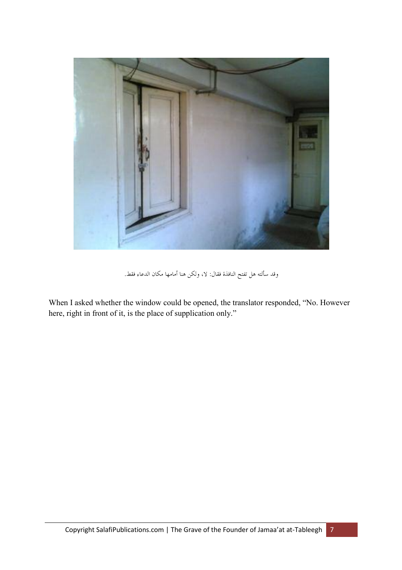

وقد سألته هل تفتح النافذة فقال: لا، ولكن هنا أمامها مكان الدعاء فقط.

When I asked whether the window could be opened, the translator responded, "No. However here, right in front of it, is the place of supplication only."